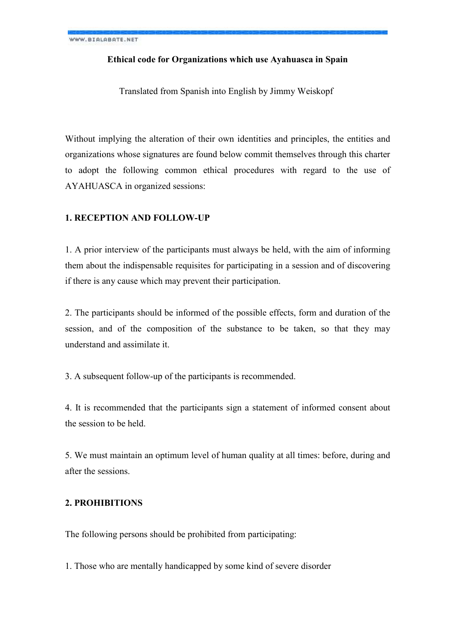# **Ethical code for Organizations which use Ayahuasca in Spain**

Translated from Spanish into English by Jimmy Weiskopf

Without implying the alteration of their own identities and principles, the entities and organizations whose signatures are found below commit themselves through this charter to adopt the following common ethical procedures with regard to the use of AYAHUASCA in organized sessions:

### **1. RECEPTION AND FOLLOW-UP**

1. A prior interview of the participants must always be held, with the aim of informing them about the indispensable requisites for participating in a session and of discovering if there is any cause which may prevent their participation.

2. The participants should be informed of the possible effects, form and duration of the session, and of the composition of the substance to be taken, so that they may understand and assimilate it.

3. A subsequent follow-up of the participants is recommended.

4. It is recommended that the participants sign a statement of informed consent about the session to be held.

5. We must maintain an optimum level of human quality at all times: before, during and after the sessions.

# **2. PROHIBITIONS**

The following persons should be prohibited from participating:

1. Those who are mentally handicapped by some kind of severe disorder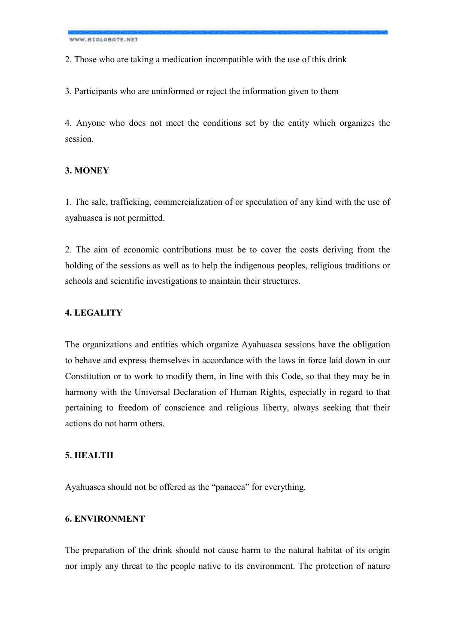WWW.BIALABATE.NET

2. Those who are taking a medication incompatible with the use of this drink

3. Participants who are uninformed or reject the information given to them

4. Anyone who does not meet the conditions set by the entity which organizes the session.

#### **3. MONEY**

1. The sale, trafficking, commercialization of or speculation of any kind with the use of ayahuasca is not permitted.

2. The aim of economic contributions must be to cover the costs deriving from the holding of the sessions as well as to help the indigenous peoples, religious traditions or schools and scientific investigations to maintain their structures.

# **4. LEGALITY**

The organizations and entities which organize Ayahuasca sessions have the obligation to behave and express themselves in accordance with the laws in force laid down in our Constitution or to work to modify them, in line with this Code, so that they may be in harmony with the Universal Declaration of Human Rights, especially in regard to that pertaining to freedom of conscience and religious liberty, always seeking that their actions do not harm others.

# **5. HEALTH**

Ayahuasca should not be offered as the "panacea" for everything.

# **6. ENVIRONMENT**

The preparation of the drink should not cause harm to the natural habitat of its origin nor imply any threat to the people native to its environment. The protection of nature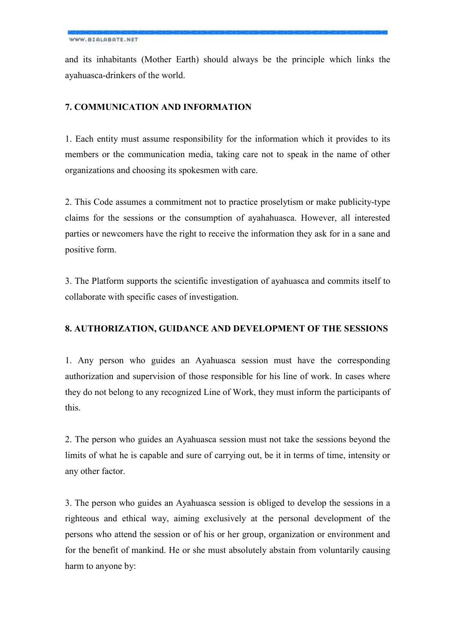and its inhabitants (Mother Earth) should always be the principle which links the ayahuasca-drinkers of the world.

# **7. COMMUNICATION AND INFORMATION**

1. Each entity must assume responsibility for the information which it provides to its members or the communication media, taking care not to speak in the name of other organizations and choosing its spokesmen with care.

2. This Code assumes a commitment not to practice proselytism or make publicity-type claims for the sessions or the consumption of ayahahuasca. However, all interested parties or newcomers have the right to receive the information they ask for in a sane and positive form.

3. The Platform supports the scientific investigation of ayahuasca and commits itself to collaborate with specific cases of investigation.

# **8. AUTHORIZATION, GUIDANCE AND DEVELOPMENT OF THE SESSIONS**

1. Any person who guides an Ayahuasca session must have the corresponding authorization and supervision of those responsible for his line of work. In cases where they do not belong to any recognized Line of Work, they must inform the participants of this.

2. The person who guides an Ayahuasca session must not take the sessions beyond the limits of what he is capable and sure of carrying out, be it in terms of time, intensity or any other factor.

3. The person who guides an Ayahuasca session is obliged to develop the sessions in a righteous and ethical way, aiming exclusively at the personal development of the persons who attend the session or of his or her group, organization or environment and for the benefit of mankind. He or she must absolutely abstain from voluntarily causing harm to anyone by: